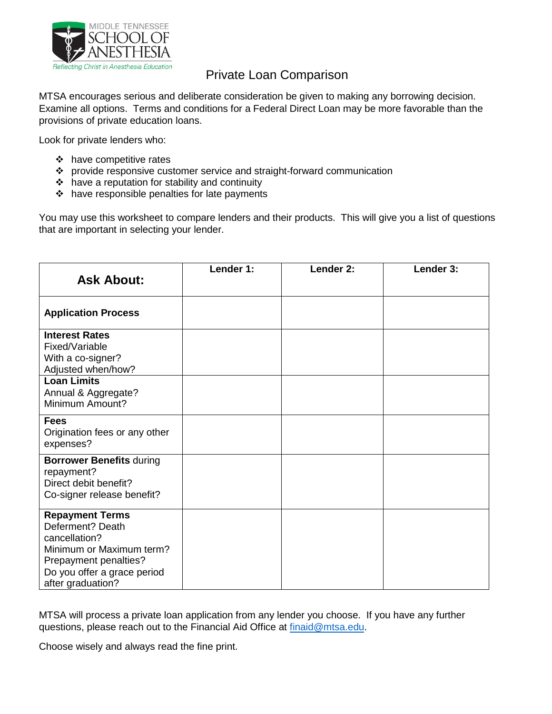

### Private Loan Comparison

MTSA encourages serious and deliberate consideration be given to making any borrowing decision. Examine all options. Terms and conditions for a Federal Direct Loan may be more favorable than the provisions of private education loans.

Look for private lenders who:

- ❖ have competitive rates
- provide responsive customer service and straight-forward communication
- have a reputation for stability and continuity
- $\cdot \cdot$  have responsible penalties for late payments

You may use this worksheet to compare lenders and their products. This will give you a list of questions that are important in selecting your lender.

| <b>Ask About:</b>                                                                                                                                                    | Lender 1: | Lender 2: | Lender 3: |
|----------------------------------------------------------------------------------------------------------------------------------------------------------------------|-----------|-----------|-----------|
| <b>Application Process</b>                                                                                                                                           |           |           |           |
| <b>Interest Rates</b><br>Fixed/Variable<br>With a co-signer?<br>Adjusted when/how?                                                                                   |           |           |           |
| <b>Loan Limits</b><br>Annual & Aggregate?<br>Minimum Amount?                                                                                                         |           |           |           |
| <b>Fees</b><br>Origination fees or any other<br>expenses?                                                                                                            |           |           |           |
| <b>Borrower Benefits during</b><br>repayment?<br>Direct debit benefit?<br>Co-signer release benefit?                                                                 |           |           |           |
| <b>Repayment Terms</b><br>Deferment? Death<br>cancellation?<br>Minimum or Maximum term?<br>Prepayment penalties?<br>Do you offer a grace period<br>after graduation? |           |           |           |

MTSA will process a private loan application from any lender you choose. If you have any further questions, please reach out to the Financial Aid Office at [finaid@mtsa.edu.](mailto:finaid@mtsa.edu)

Choose wisely and always read the fine print.